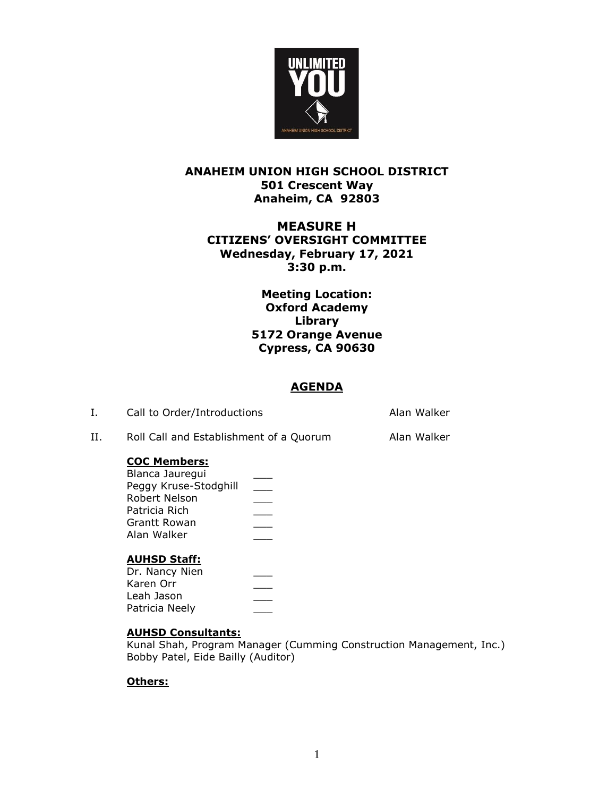

# **ANAHEIM UNION HIGH SCHOOL DISTRICT 501 Crescent Way Anaheim, CA 92803**

# **MEASURE H CITIZENS' OVERSIGHT COMMITTEE Wednesday, February 17, 2021 3:30 p.m.**

## **Meeting Location: Oxford Academy Library 5172 Orange Avenue Cypress, CA 90630**

## **AGENDA**

| Call to Order/Introductions | Alan Walker |
|-----------------------------|-------------|
|                             |             |

II. Roll Call and Establishment of a Quorum Alan Walker

### **COC Members:**

| Blanca Jaurequi       |  |
|-----------------------|--|
| Peggy Kruse-Stodghill |  |
| Robert Nelson         |  |
| Patricia Rich         |  |
| Grantt Rowan          |  |
| Alan Walker           |  |
|                       |  |

### **AUHSD Staff:**

### **AUHSD Consultants:**

Kunal Shah, Program Manager (Cumming Construction Management, Inc.) Bobby Patel, Eide Bailly (Auditor)

### **Others:**